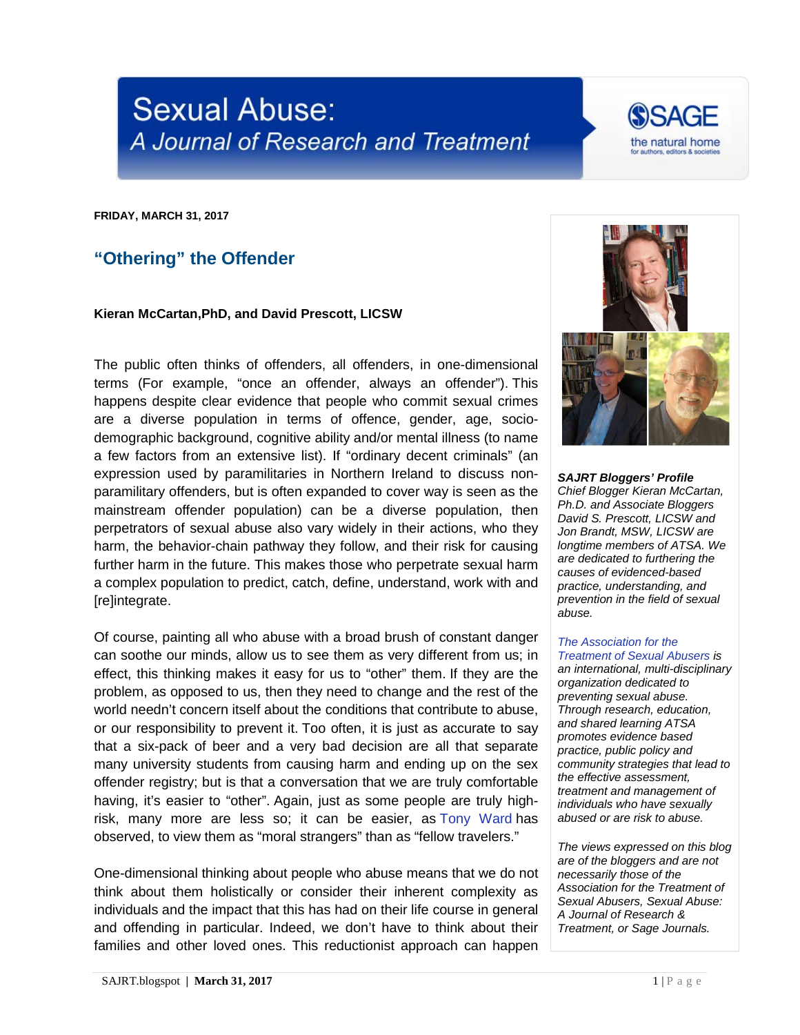## **Sexual Abuse:** A Journal of Research and Treatment



**FRIDAY, MARCH 31, 2017**

## **"Othering" the Offender**

## **Kieran McCartan,PhD, and David Prescott, LICSW**

The public often thinks of offenders, all offenders, in one-dimensional terms (For example, "once an offender, always an offender"). This happens despite clear evidence that people who commit sexual crimes are a diverse population in terms of offence, gender, age, sociodemographic background, cognitive ability and/or mental illness (to name a few factors from an extensive list). If "ordinary decent criminals" (an expression used by paramilitaries in Northern Ireland to discuss nonparamilitary offenders, but is often expanded to cover way is seen as the mainstream offender population) can be a diverse population, then perpetrators of sexual abuse also vary widely in their actions, who they harm, the behavior-chain pathway they follow, and their risk for causing further harm in the future. This makes those who perpetrate sexual harm a complex population to predict, catch, define, understand, work with and [re]integrate.

Of course, painting all who abuse with a broad brush of constant danger can soothe our minds, allow us to see them as very different from us; in effect, this thinking makes it easy for us to "other" them. If they are the problem, as opposed to us, then they need to change and the rest of the world needn't concern itself about the conditions that contribute to abuse, or our responsibility to prevent it. Too often, it is just as accurate to say that a six-pack of beer and a very bad decision are all that separate many university students from causing harm and ending up on the sex offender registry; but is that a conversation that we are truly comfortable having, it's easier to "other". Again, just as some people are truly highrisk, many more are less so; it can be easier, as [Tony Ward](http://onlinelibrary.wiley.com/doi/10.1111/j.2044-8333.2011.02040.x/abstract) has observed, to view them as "moral strangers" than as "fellow travelers."

One-dimensional thinking about people who abuse means that we do not think about them holistically or consider their inherent complexity as individuals and the impact that this has had on their life course in general and offending in particular. Indeed, we don't have to think about their families and other loved ones. This reductionist approach can happen



*SAJRT Bloggers' Profile Chief Blogger Kieran McCartan, Ph.D. and Associate Bloggers David S. Prescott, LICSW and Jon Brandt, MSW, LICSW are longtime members of ATSA. We are dedicated to furthering the causes of evidenced-based practice, understanding, and prevention in the field of sexual abuse.*

## *[The Association for the](http://atsa.com/)  [Treatment of Sexual Abusers](http://atsa.com/) is*

*an international, multi-disciplinary organization dedicated to preventing sexual abuse. Through research, education, and shared learning ATSA promotes evidence based practice, public policy and community strategies that lead to the effective assessment, treatment and management of individuals who have sexually abused or are risk to abuse.* 

*The views expressed on this blog are of the bloggers and are not necessarily those of the Association for the Treatment of Sexual Abusers, Sexual Abuse: A Journal of Research & Treatment, or Sage Journals.*